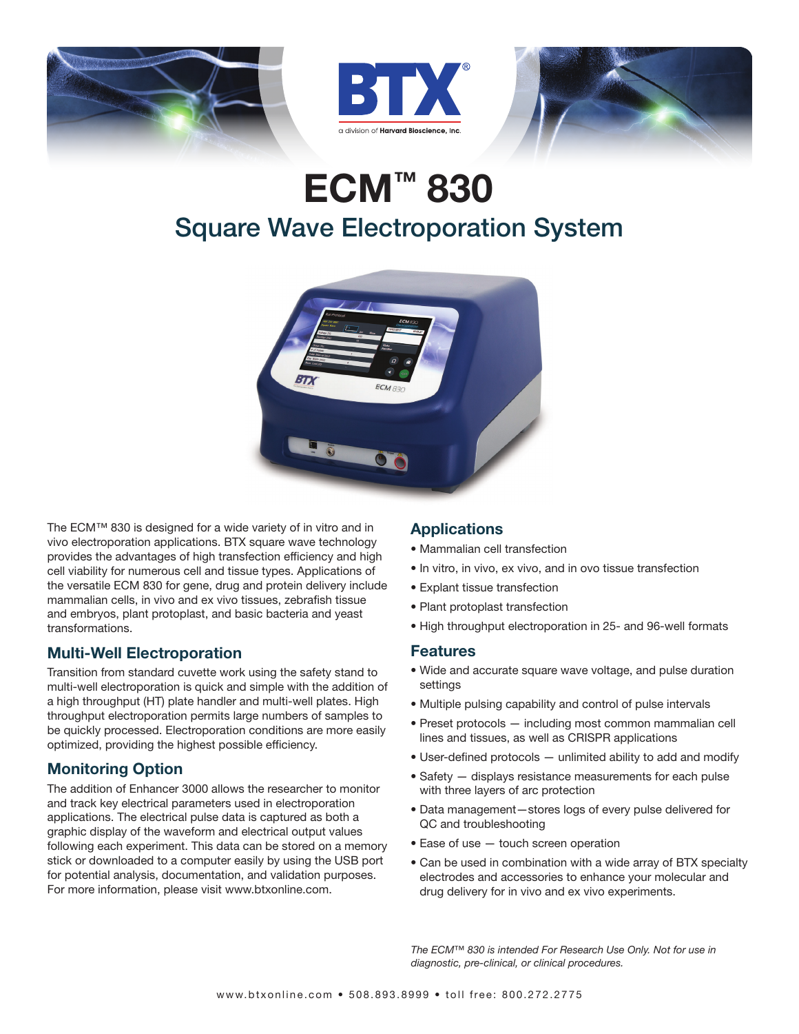





# ECM™ 830 Square Wave Electroporation System



The ECM™ 830 is designed for a wide variety of in vitro and in vivo electroporation applications. BTX square wave technology provides the advantages of high transfection efficiency and high cell viability for numerous cell and tissue types. Applications of the versatile ECM 830 for gene, drug and protein delivery include mammalian cells, in vivo and ex vivo tissues, zebrafish tissue and embryos, plant protoplast, and basic bacteria and yeast transformations.

#### Multi-Well Electroporation

Transition from standard cuvette work using the safety stand to multi-well electroporation is quick and simple with the addition of a high throughput (HT) plate handler and multi-well plates. High throughput electroporation permits large numbers of samples to be quickly processed. Electroporation conditions are more easily optimized, providing the highest possible efficiency.

## Monitoring Option

The addition of Enhancer 3000 allows the researcher to monitor and track key electrical parameters used in electroporation applications. The electrical pulse data is captured as both a graphic display of the waveform and electrical output values following each experiment. This data can be stored on a memory stick or downloaded to a computer easily by using the USB port for potential analysis, documentation, and validation purposes. For more information, please visit www.btxonline.com.

## **Applications**

- Mammalian cell transfection
- In vitro, in vivo, ex vivo, and in ovo tissue transfection
- Explant tissue transfection
- Plant protoplast transfection
- High throughput electroporation in 25- and 96-well formats

#### Features

- Wide and accurate square wave voltage, and pulse duration settings
- Multiple pulsing capability and control of pulse intervals
- Preset protocols including most common mammalian cell lines and tissues, as well as CRISPR applications
- User-defined protocols unlimited ability to add and modify
- Safety displays resistance measurements for each pulse with three layers of arc protection
- Data management—stores logs of every pulse delivered for QC and troubleshooting
- Ease of use touch screen operation
- Can be used in combination with a wide array of BTX specialty electrodes and accessories to enhance your molecular and drug delivery for in vivo and ex vivo experiments.

*The ECM™ 830 is intended For Research Use Only. Not for use in diagnostic, pre-clinical, or clinical procedures.*